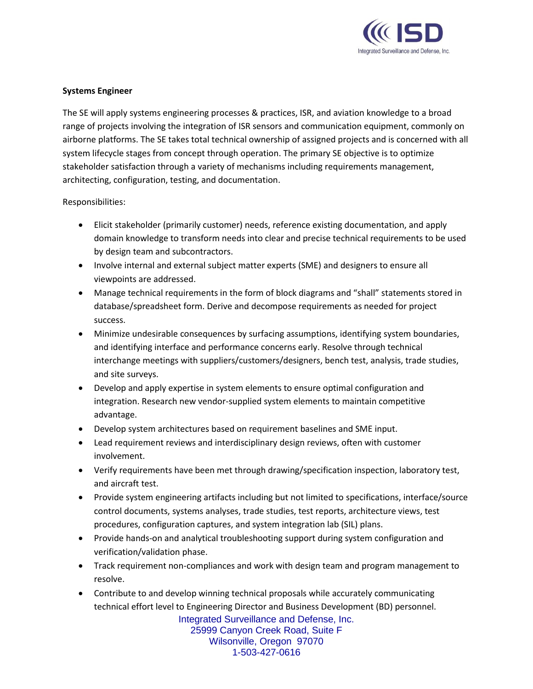

## **Systems Engineer**

The SE will apply systems engineering processes & practices, ISR, and aviation knowledge to a broad range of projects involving the integration of ISR sensors and communication equipment, commonly on airborne platforms. The SE takes total technical ownership of assigned projects and is concerned with all system lifecycle stages from concept through operation. The primary SE objective is to optimize stakeholder satisfaction through a variety of mechanisms including requirements management, architecting, configuration, testing, and documentation.

## Responsibilities:

- Elicit stakeholder (primarily customer) needs, reference existing documentation, and apply domain knowledge to transform needs into clear and precise technical requirements to be used by design team and subcontractors.
- Involve internal and external subject matter experts (SME) and designers to ensure all viewpoints are addressed.
- Manage technical requirements in the form of block diagrams and "shall" statements stored in database/spreadsheet form. Derive and decompose requirements as needed for project success.
- Minimize undesirable consequences by surfacing assumptions, identifying system boundaries, and identifying interface and performance concerns early. Resolve through technical interchange meetings with suppliers/customers/designers, bench test, analysis, trade studies, and site surveys.
- Develop and apply expertise in system elements to ensure optimal configuration and integration. Research new vendor-supplied system elements to maintain competitive advantage.
- Develop system architectures based on requirement baselines and SME input.
- Lead requirement reviews and interdisciplinary design reviews, often with customer involvement.
- Verify requirements have been met through drawing/specification inspection, laboratory test, and aircraft test.
- Provide system engineering artifacts including but not limited to specifications, interface/source control documents, systems analyses, trade studies, test reports, architecture views, test procedures, configuration captures, and system integration lab (SIL) plans.
- Provide hands-on and analytical troubleshooting support during system configuration and verification/validation phase.
- Track requirement non-compliances and work with design team and program management to resolve.
- Contribute to and develop winning technical proposals while accurately communicating technical effort level to Engineering Director and Business Development (BD) personnel.

Integrated Surveillance and Defense, Inc. 25999 Canyon Creek Road, Suite F Wilsonville, Oregon 97070 1-503-427-0616